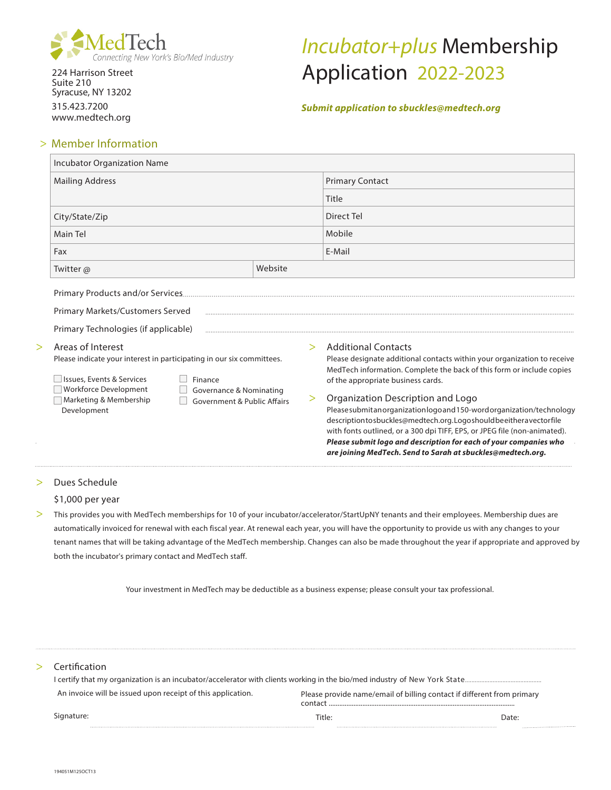

224 Harrison Street Suite 210 Syracuse, NY 13202 315.423.7200 www.medtech.org

# Incubator+plus Membership Application 2022-2023

# **Submit application to sbuckles@medtech.org**

# > Member Information

| <b>Incubator Organization Name</b>                                                                                                                                                                                                                                                                                                                             |                                                                                                                                                                                                                                                                                                                                                                                                                                                                                                                                                                                                                                   |
|----------------------------------------------------------------------------------------------------------------------------------------------------------------------------------------------------------------------------------------------------------------------------------------------------------------------------------------------------------------|-----------------------------------------------------------------------------------------------------------------------------------------------------------------------------------------------------------------------------------------------------------------------------------------------------------------------------------------------------------------------------------------------------------------------------------------------------------------------------------------------------------------------------------------------------------------------------------------------------------------------------------|
| <b>Mailing Address</b>                                                                                                                                                                                                                                                                                                                                         | <b>Primary Contact</b>                                                                                                                                                                                                                                                                                                                                                                                                                                                                                                                                                                                                            |
|                                                                                                                                                                                                                                                                                                                                                                | Title                                                                                                                                                                                                                                                                                                                                                                                                                                                                                                                                                                                                                             |
| City/State/Zip                                                                                                                                                                                                                                                                                                                                                 | Direct Tel                                                                                                                                                                                                                                                                                                                                                                                                                                                                                                                                                                                                                        |
| Main Tel                                                                                                                                                                                                                                                                                                                                                       | Mobile                                                                                                                                                                                                                                                                                                                                                                                                                                                                                                                                                                                                                            |
| Fax                                                                                                                                                                                                                                                                                                                                                            | E-Mail                                                                                                                                                                                                                                                                                                                                                                                                                                                                                                                                                                                                                            |
| Website<br>Twitter @                                                                                                                                                                                                                                                                                                                                           |                                                                                                                                                                                                                                                                                                                                                                                                                                                                                                                                                                                                                                   |
| Primary Markets/Customers Served<br>Primary Technologies (if applicable)<br>Areas of Interest<br>$\, > \,$<br>Please indicate your interest in participating in our six committees.<br>Issues, Events & Services<br>Finance<br><b>Workforce Development</b><br>Governance & Nominating<br>Marketing & Membership<br>Government & Public Affairs<br>Development | <b>Additional Contacts</b><br>$\geq$<br>Please designate additional contacts within your organization to receive<br>MedTech information. Complete the back of this form or include copies<br>of the appropriate business cards.<br>Organization Description and Logo<br>><br>Pleasesubmitanorganizationlogoand150-wordorganization/technology<br>descriptiontosbuckles@medtech.org.Logoshouldbeeitheravectorfile<br>with fonts outlined, or a 300 dpi TIFF, EPS, or JPEG file (non-animated).<br>Please submit logo and description for each of your companies who<br>are joining MedTech. Send to Sarah at sbuckles@medtech.org. |

# > Dues Schedule

# \$1,000 per year

> This provides you with MedTech memberships for 10 of your incubator/accelerator/StartUpNY tenants and their employees. Membership dues are automatically invoiced for renewal with each fiscal year. At renewal each year, you will have the opportunity to provide us with any changes to your tenant names that will be taking advantage of the MedTech membership. Changes can also be made throughout the year if appropriate and approved by both the incubator's primary contact and MedTech staff.

Your investment in MedTech may be deductible as a business expense; please consult your tax professional.

# > Certification

| An invoice will be issued upon receipt of this application. | Please provide name/email of billing contact if different from primary<br>contact |       |
|-------------------------------------------------------------|-----------------------------------------------------------------------------------|-------|
| Signature:                                                  | Title:                                                                            | Date: |